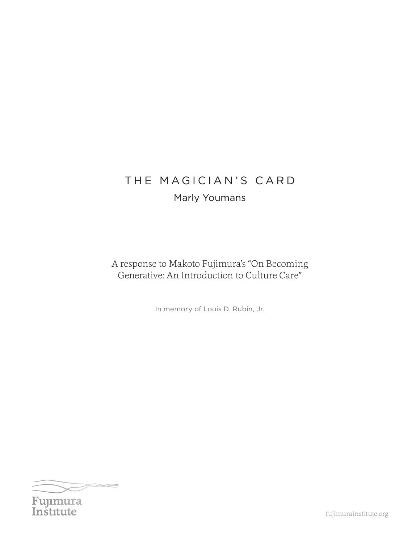# THE MAGICIAN'S CARD

## Marly Youmans

A response to Makoto Fujimura's "On Becoming Generative: An Introduction to Culture Care"

In memory of Louis D. Rubin, Jr.



fujimurainstitute.org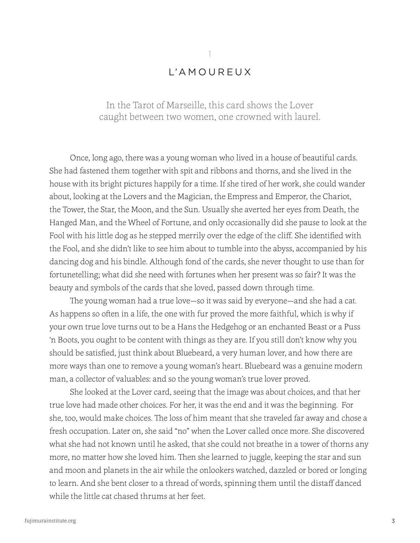### L'A M O U R EUX

1

In the Tarot of Marseille, this card shows the Lover caught between two women, one crowned with laurel.

Once, long ago, there was a young woman who lived in a house of beautiful cards. She had fastened them together with spit and ribbons and thorns, and she lived in the house with its bright pictures happily for a time. If she tired of her work, she could wander about, looking at the Lovers and the Magician, the Empress and Emperor, the Chariot, the Tower, the Star, the Moon, and the Sun. Usually she averted her eyes from Death, the Hanged Man, and the Wheel of Fortune, and only occasionally did she pause to look at the Fool with his little dog as he stepped merrily over the edge of the cliff. She identified with the Fool, and she didn't like to see him about to tumble into the abyss, accompanied by his dancing dog and his bindle. Although fond of the cards, she never thought to use than for fortunetelling; what did she need with fortunes when her present was so fair? It was the beauty and symbols of the cards that she loved, passed down through time.

The young woman had a true love—so it was said by everyone—and she had a cat. As happens so often in a life, the one with fur proved the more faithful, which is why if your own true love turns out to be a Hans the Hedgehog or an enchanted Beast or a Puss 'n Boots, you ought to be content with things as they are. If you still don't know why you should be satisfied, just think about Bluebeard, a very human lover, and how there are more ways than one to remove a young woman's heart. Bluebeard was a genuine modern man, a collector of valuables: and so the young woman's true lover proved.

She looked at the Lover card, seeing that the image was about choices, and that her true love had made other choices. For her, it was the end and it was the beginning. For she, too, would make choices. The loss of him meant that she traveled far away and chose a fresh occupation. Later on, she said "no" when the Lover called once more. She discovered what she had not known until he asked, that she could not breathe in a tower of thorns any more, no matter how she loved him. Then she learned to juggle, keeping the star and sun and moon and planets in the air while the onlookers watched, dazzled or bored or longing to learn. And she bent closer to a thread of words, spinning them until the distaff danced while the little cat chased thrums at her feet.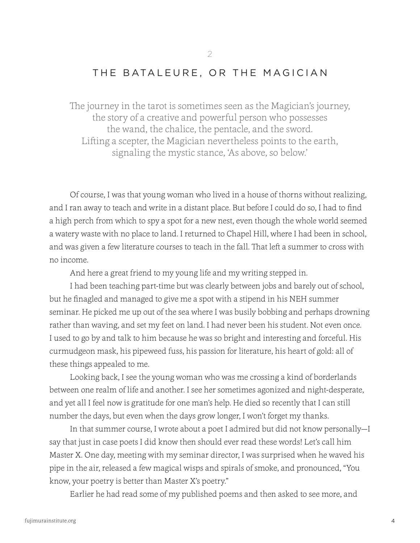#### THE BATALEURE, OR THE MAGICIAN

2

The journey in the tarot is sometimes seen as the Magician's journey, the story of a creative and powerful person who possesses the wand, the chalice, the pentacle, and the sword. Lifting a scepter, the Magician nevertheless points to the earth, signaling the mystic stance, 'As above, so below.'

Of course, I was that young woman who lived in a house of thorns without realizing, and I ran away to teach and write in a distant place. But before I could do so, I had to find a high perch from which to spy a spot for a new nest, even though the whole world seemed a watery waste with no place to land. I returned to Chapel Hill, where I had been in school, and was given a few literature courses to teach in the fall. That left a summer to cross with no income.

And here a great friend to my young life and my writing stepped in.

I had been teaching part-time but was clearly between jobs and barely out of school, but he finagled and managed to give me a spot with a stipend in his NEH summer seminar. He picked me up out of the sea where I was busily bobbing and perhaps drowning rather than waving, and set my feet on land. I had never been his student. Not even once. I used to go by and talk to him because he was so bright and interesting and forceful. His curmudgeon mask, his pipeweed fuss, his passion for literature, his heart of gold: all of these things appealed to me.

Looking back, I see the young woman who was me crossing a kind of borderlands between one realm of life and another. I see her sometimes agonized and night-desperate, and yet all I feel now is gratitude for one man's help. He died so recently that I can still number the days, but even when the days grow longer, I won't forget my thanks.

In that summer course, I wrote about a poet I admired but did not know personally—I say that just in case poets I did know then should ever read these words! Let's call him Master X. One day, meeting with my seminar director, I was surprised when he waved his pipe in the air, released a few magical wisps and spirals of smoke, and pronounced, "You know, your poetry is better than Master X's poetry."

Earlier he had read some of my published poems and then asked to see more, and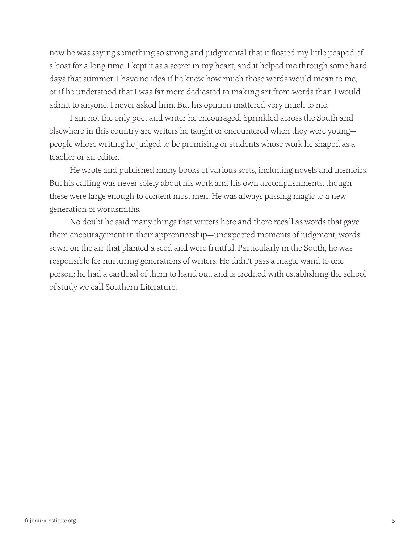now he was saying something so strong and judgmental that it floated my little peapod of a boat for a long time. I kept it as a secret in my heart, and it helped me through some hard days that summer. I have no idea if he knew how much those words would mean to me, or if he understood that I was far more dedicated to making art from words than I would admit to anyone. I never asked him. But his opinion mattered very much to me.

I am not the only poet and writer he encouraged. Sprinkled across the South and elsewhere in this country are writers he taught or encountered when they were young people whose writing he judged to be promising or students whose work he shaped as a teacher or an editor.

He wrote and published many books of various sorts, including novels and memoirs. But his calling was never solely about his work and his own accomplishments, though these were large enough to content most men. He was always passing magic to a new generation of wordsmiths.

No doubt he said many things that writers here and there recall as words that gave them encouragement in their apprenticeship—unexpected moments of judgment, words sown on the air that planted a seed and were fruitful. Particularly in the South, he was responsible for nurturing generations of writers. He didn't pass a magic wand to one person; he had a cartload of them to hand out, and is credited with establishing the school of study we call Southern Literature.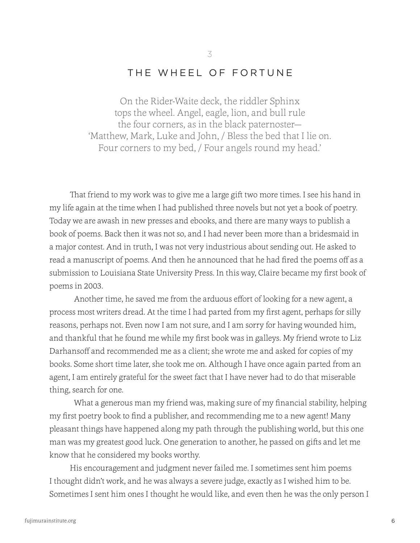#### THE WHEEL OF FORTUNE

3

On the Rider-Waite deck, the riddler Sphinx tops the wheel. Angel, eagle, lion, and bull rule the four corners, as in the black paternoster— 'Matthew, Mark, Luke and John, / Bless the bed that I lie on. Four corners to my bed, / Four angels round my head.'

That friend to my work was to give me a large gift two more times. I see his hand in my life again at the time when I had published three novels but not yet a book of poetry. Today we are awash in new presses and ebooks, and there are many ways to publish a book of poems. Back then it was not so, and I had never been more than a bridesmaid in a major contest. And in truth, I was not very industrious about sending out. He asked to read a manuscript of poems. And then he announced that he had fired the poems off as a submission to Louisiana State University Press. In this way, Claire became my first book of poems in 2003.

Another time, he saved me from the arduous effort of looking for a new agent, a process most writers dread. At the time I had parted from my first agent, perhaps for silly reasons, perhaps not. Even now I am not sure, and I am sorry for having wounded him, and thankful that he found me while my first book was in galleys. My friend wrote to Liz Darhansoff and recommended me as a client; she wrote me and asked for copies of my books. Some short time later, she took me on. Although I have once again parted from an agent, I am entirely grateful for the sweet fact that I have never had to do that miserable thing, search for one.

What a generous man my friend was, making sure of my financial stability, helping my first poetry book to find a publisher, and recommending me to a new agent! Many pleasant things have happened along my path through the publishing world, but this one man was my greatest good luck. One generation to another, he passed on gifts and let me know that he considered my books worthy.

His encouragement and judgment never failed me. I sometimes sent him poems I thought didn't work, and he was always a severe judge, exactly as I wished him to be. Sometimes I sent him ones I thought he would like, and even then he was the only person I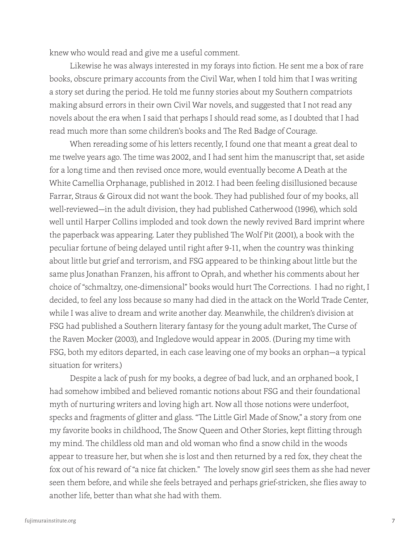knew who would read and give me a useful comment.

Likewise he was always interested in my forays into fiction. He sent me a box of rare books, obscure primary accounts from the Civil War, when I told him that I was writing a story set during the period. He told me funny stories about my Southern compatriots making absurd errors in their own Civil War novels, and suggested that I not read any novels about the era when I said that perhaps I should read some, as I doubted that I had read much more than some children's books and The Red Badge of Courage.

When rereading some of his letters recently, I found one that meant a great deal to me twelve years ago. The time was 2002, and I had sent him the manuscript that, set aside for a long time and then revised once more, would eventually become A Death at the White Camellia Orphanage, published in 2012. I had been feeling disillusioned because Farrar, Straus & Giroux did not want the book. They had published four of my books, all well-reviewed—in the adult division, they had published Catherwood (1996), which sold well until Harper Collins imploded and took down the newly revived Bard imprint where the paperback was appearing. Later they published The Wolf Pit (2001), a book with the peculiar fortune of being delayed until right after 9-11, when the country was thinking about little but grief and terrorism, and FSG appeared to be thinking about little but the same plus Jonathan Franzen, his affront to Oprah, and whether his comments about her choice of "schmaltzy, one-dimensional" books would hurt The Corrections. I had no right, I decided, to feel any loss because so many had died in the attack on the World Trade Center, while I was alive to dream and write another day. Meanwhile, the children's division at FSG had published a Southern literary fantasy for the young adult market, The Curse of the Raven Mocker (2003), and Ingledove would appear in 2005. (During my time with FSG, both my editors departed, in each case leaving one of my books an orphan—a typical situation for writers.)

Despite a lack of push for my books, a degree of bad luck, and an orphaned book, I had somehow imbibed and believed romantic notions about FSG and their foundational myth of nurturing writers and loving high art. Now all those notions were underfoot, specks and fragments of glitter and glass. "The Little Girl Made of Snow," a story from one my favorite books in childhood, The Snow Queen and Other Stories, kept flitting through my mind. The childless old man and old woman who find a snow child in the woods appear to treasure her, but when she is lost and then returned by a red fox, they cheat the fox out of his reward of "a nice fat chicken." The lovely snow girl sees them as she had never seen them before, and while she feels betrayed and perhaps grief-stricken, she flies away to another life, better than what she had with them.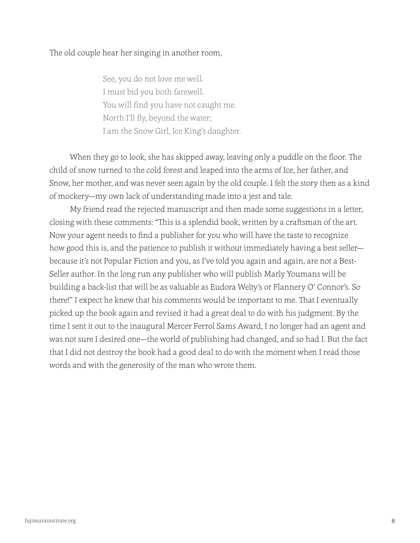The old couple hear her singing in another room,

See, you do not love me well. I must bid you both farewell. You will find you have not caught me. North I'll fly, beyond the water; I am the Snow Girl, Ice King's daughter.

When they go to look, she has skipped away, leaving only a puddle on the floor. The child of snow turned to the cold forest and leaped into the arms of Ice, her father, and Snow, her mother, and was never seen again by the old couple. I felt the story then as a kind of mockery—my own lack of understanding made into a jest and tale.

My friend read the rejected manuscript and then made some suggestions in a letter, closing with these comments: "This is a splendid book, written by a craftsman of the art. Now your agent needs to find a publisher for you who will have the taste to recognize how good this is, and the patience to publish it without immediately having a best seller because it's not Popular Fiction and you, as I've told you again and again, are not a Best-Seller author. In the long run any publisher who will publish Marly Youmans will be building a back-list that will be as valuable as Eudora Welty's or Flannery O' Connor's. So there!" I expect he knew that his comments would be important to me. That I eventually picked up the book again and revised it had a great deal to do with his judgment. By the time I sent it out to the inaugural Mercer Ferrol Sams Award, I no longer had an agent and was not sure I desired one—the world of publishing had changed, and so had I. But the fact that I did not destroy the book had a good deal to do with the moment when I read those words and with the generosity of the man who wrote them.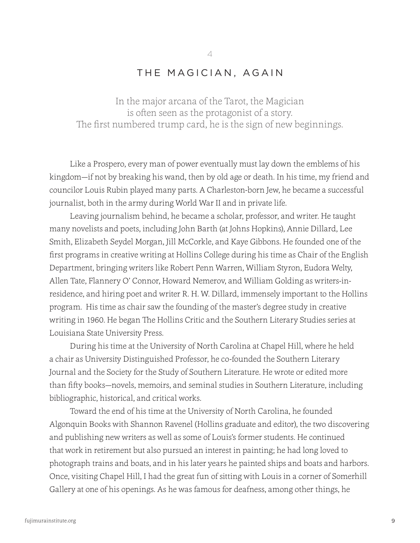#### THE MAGICIAN, AGAIN

4

In the major arcana of the Tarot, the Magician is often seen as the protagonist of a story. The first numbered trump card, he is the sign of new beginnings.

Like a Prospero, every man of power eventually must lay down the emblems of his kingdom—if not by breaking his wand, then by old age or death. In his time, my friend and councilor Louis Rubin played many parts. A Charleston-born Jew, he became a successful journalist, both in the army during World War II and in private life.

Leaving journalism behind, he became a scholar, professor, and writer. He taught many novelists and poets, including John Barth (at Johns Hopkins), Annie Dillard, Lee Smith, Elizabeth Seydel Morgan, Jill McCorkle, and Kaye Gibbons. He founded one of the first programs in creative writing at Hollins College during his time as Chair of the English Department, bringing writers like Robert Penn Warren, William Styron, Eudora Welty, Allen Tate, Flannery O' Connor, Howard Nemerov, and William Golding as writers-inresidence, and hiring poet and writer R. H. W. Dillard, immensely important to the Hollins program. His time as chair saw the founding of the master's degree study in creative writing in 1960. He began The Hollins Critic and the Southern Literary Studies series at Louisiana State University Press.

During his time at the University of North Carolina at Chapel Hill, where he held a chair as University Distinguished Professor, he co-founded the Southern Literary Journal and the Society for the Study of Southern Literature. He wrote or edited more than fifty books—novels, memoirs, and seminal studies in Southern Literature, including bibliographic, historical, and critical works.

Toward the end of his time at the University of North Carolina, he founded Algonquin Books with Shannon Ravenel (Hollins graduate and editor), the two discovering and publishing new writers as well as some of Louis's former students. He continued that work in retirement but also pursued an interest in painting; he had long loved to photograph trains and boats, and in his later years he painted ships and boats and harbors. Once, visiting Chapel Hill, I had the great fun of sitting with Louis in a corner of Somerhill Gallery at one of his openings. As he was famous for deafness, among other things, he